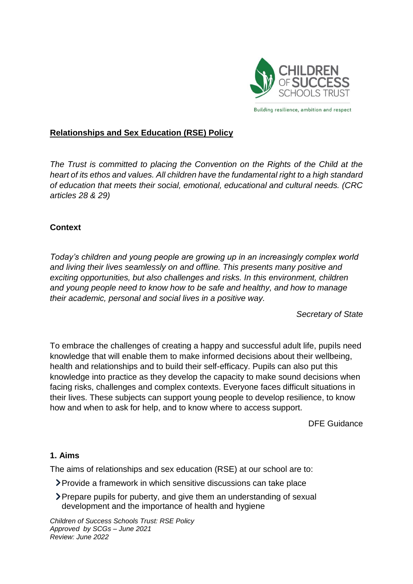

#### **Relationships and Sex Education (RSE) Policy**

*The Trust is committed to placing the Convention on the Rights of the Child at the heart of its ethos and values. All children have the fundamental right to a high standard of education that meets their social, emotional, educational and cultural needs. (CRC articles 28 & 29)*

#### **Context**

*Today's children and young people are growing up in an increasingly complex world and living their lives seamlessly on and offline. This presents many positive and exciting opportunities, but also challenges and risks. In this environment, children and young people need to know how to be safe and healthy, and how to manage their academic, personal and social lives in a positive way.*

*Secretary of State*

To embrace the challenges of creating a happy and successful adult life, pupils need knowledge that will enable them to make informed decisions about their wellbeing, health and relationships and to build their self-efficacy. Pupils can also put this knowledge into practice as they develop the capacity to make sound decisions when facing risks, challenges and complex contexts. Everyone faces difficult situations in their lives. These subjects can support young people to develop resilience, to know how and when to ask for help, and to know where to access support.

DFE Guidance

#### **1. Aims**

The aims of relationships and sex education (RSE) at our school are to:

- Provide a framework in which sensitive discussions can take place
- Prepare pupils for puberty, and give them an understanding of sexual development and the importance of health and hygiene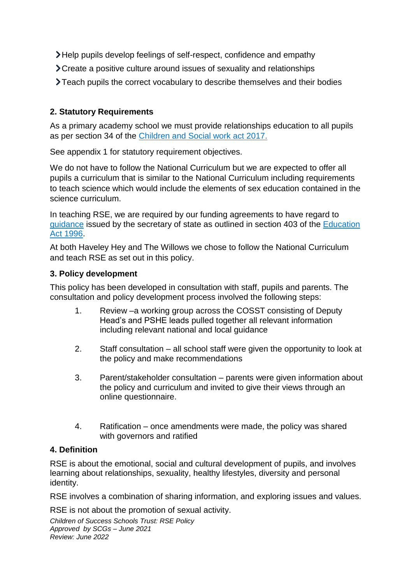- Help pupils develop feelings of self-respect, confidence and empathy
- Create a positive culture around issues of sexuality and relationships
- Teach pupils the correct vocabulary to describe themselves and their bodies

# **2. Statutory Requirements**

As a primary academy school we must provide relationships education to all pupils as per section 34 of the [Children and Social work act 2017.](http://www.legislation.gov.uk/ukpga/2017/16/section/34/enacted) 

See appendix 1 for statutory requirement objectives.

We do not have to follow the National Curriculum but we are expected to offer all pupils a curriculum that is similar to the National Curriculum including requirements to teach science which would include the elements of sex education contained in the science curriculum.

In teaching RSE, we are required by our funding agreements to have regard to [guidance](https://www.gov.uk/government/consultations/relationships-and-sex-education-and-health-education) issued by the secretary of state as outlined in section 403 of the [Education](http://www.legislation.gov.uk/ukpga/1996/56/contents)  [Act 1996.](http://www.legislation.gov.uk/ukpga/1996/56/contents)

At both Haveley Hey and The Willows we chose to follow the National Curriculum and teach RSE as set out in this policy.

## **3. Policy development**

This policy has been developed in consultation with staff, pupils and parents. The consultation and policy development process involved the following steps:

- 1. Review –a working group across the COSST consisting of Deputy Head's and PSHE leads pulled together all relevant information including relevant national and local guidance
- 2. Staff consultation all school staff were given the opportunity to look at the policy and make recommendations
- 3. Parent/stakeholder consultation parents were given information about the policy and curriculum and invited to give their views through an online questionnaire.
- 4. Ratification once amendments were made, the policy was shared with governors and ratified

#### **4. Definition**

RSE is about the emotional, social and cultural development of pupils, and involves learning about relationships, sexuality, healthy lifestyles, diversity and personal identity.

RSE involves a combination of sharing information, and exploring issues and values.

RSE is not about the promotion of sexual activity.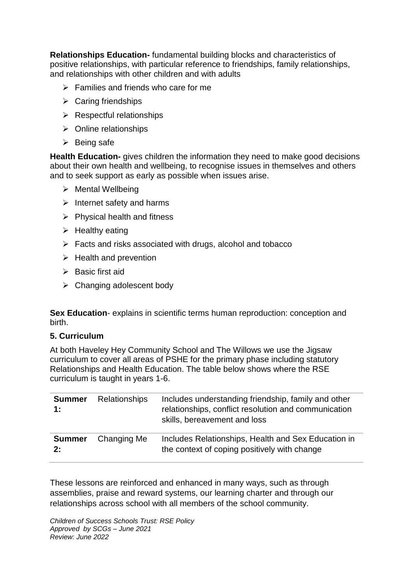**Relationships Education-** fundamental building blocks and characteristics of positive relationships, with particular reference to friendships, family relationships, and relationships with other children and with adults

- $\triangleright$  Families and friends who care for me
- $\triangleright$  Caring friendships
- $\triangleright$  Respectful relationships
- $\triangleright$  Online relationships
- $\triangleright$  Being safe

**Health Education-** gives children the information they need to make good decisions about their own health and wellbeing, to recognise issues in themselves and others and to seek support as early as possible when issues arise.

- $\triangleright$  Mental Wellbeing
- $\triangleright$  Internet safety and harms
- $\triangleright$  Physical health and fitness
- $\triangleright$  Healthy eating
- $\triangleright$  Facts and risks associated with drugs, alcohol and tobacco
- $\triangleright$  Health and prevention
- $\triangleright$  Basic first aid
- $\triangleright$  Changing adolescent body

**Sex Education**- explains in scientific terms human reproduction: conception and birth.

#### **5. Curriculum**

At both Haveley Hey Community School and The Willows we use the Jigsaw curriculum to cover all areas of PSHE for the primary phase including statutory Relationships and Health Education. The table below shows where the RSE curriculum is taught in years 1-6.

| <b>Summer</b><br>1: | <b>Relationships</b> | Includes understanding friendship, family and other<br>relationships, conflict resolution and communication<br>skills, bereavement and loss |
|---------------------|----------------------|---------------------------------------------------------------------------------------------------------------------------------------------|
| <b>Summer</b><br>2: | Changing Me          | Includes Relationships, Health and Sex Education in<br>the context of coping positively with change                                         |

These lessons are reinforced and enhanced in many ways, such as through assemblies, praise and reward systems, our learning charter and through our relationships across school with all members of the school community.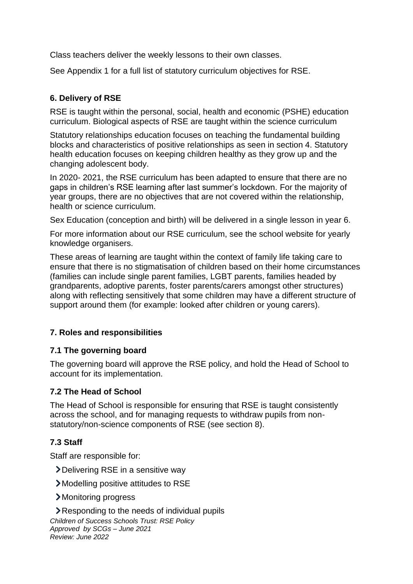Class teachers deliver the weekly lessons to their own classes.

See Appendix 1 for a full list of statutory curriculum objectives for RSE.

# **6. Delivery of RSE**

RSE is taught within the personal, social, health and economic (PSHE) education curriculum. Biological aspects of RSE are taught within the science curriculum

Statutory relationships education focuses on teaching the fundamental building blocks and characteristics of positive relationships as seen in section 4. Statutory health education focuses on keeping children healthy as they grow up and the changing adolescent body.

In 2020- 2021, the RSE curriculum has been adapted to ensure that there are no gaps in children's RSE learning after last summer's lockdown. For the majority of year groups, there are no objectives that are not covered within the relationship, health or science curriculum.

Sex Education (conception and birth) will be delivered in a single lesson in year 6.

For more information about our RSE curriculum, see the school website for yearly knowledge organisers.

These areas of learning are taught within the context of family life taking care to ensure that there is no stigmatisation of children based on their home circumstances (families can include single parent families, LGBT parents, families headed by grandparents, adoptive parents, foster parents/carers amongst other structures) along with reflecting sensitively that some children may have a different structure of support around them (for example: looked after children or young carers).

## **7. Roles and responsibilities**

## **7.1 The governing board**

The governing board will approve the RSE policy, and hold the Head of School to account for its implementation.

## **7.2 The Head of School**

The Head of School is responsible for ensuring that RSE is taught consistently across the school, and for managing requests to withdraw pupils from nonstatutory/non-science components of RSE (see section 8).

## **7.3 Staff**

Staff are responsible for:

- Delivering RSE in a sensitive way
- Modelling positive attitudes to RSE
- Monitoring progress

*Children of Success Schools Trust: RSE Policy Approved by SCGs – June 2021 Review: June 2022* **Example 3 Responding to the needs of individual pupils**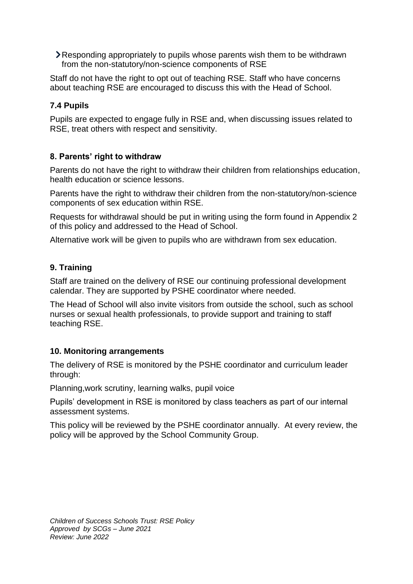Responding appropriately to pupils whose parents wish them to be withdrawn from the non-statutory/non-science components of RSE

Staff do not have the right to opt out of teaching RSE. Staff who have concerns about teaching RSE are encouraged to discuss this with the Head of School.

# **7.4 Pupils**

Pupils are expected to engage fully in RSE and, when discussing issues related to RSE, treat others with respect and sensitivity.

## **8. Parents' right to withdraw**

Parents do not have the right to withdraw their children from relationships education, health education or science lessons.

Parents have the right to withdraw their children from the non-statutory/non-science components of sex education within RSE.

Requests for withdrawal should be put in writing using the form found in Appendix 2 of this policy and addressed to the Head of School.

Alternative work will be given to pupils who are withdrawn from sex education.

## **9. Training**

Staff are trained on the delivery of RSE our continuing professional development calendar. They are supported by PSHE coordinator where needed.

The Head of School will also invite visitors from outside the school, such as school nurses or sexual health professionals, to provide support and training to staff teaching RSE.

## **10. Monitoring arrangements**

The delivery of RSE is monitored by the PSHE coordinator and curriculum leader through:

Planning,work scrutiny, learning walks, pupil voice

Pupils' development in RSE is monitored by class teachers as part of our internal assessment systems.

This policy will be reviewed by the PSHE coordinator annually. At every review, the policy will be approved by the School Community Group.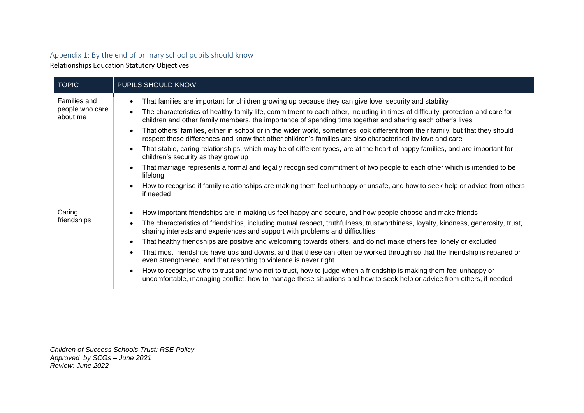## Appendix 1: By the end of primary school pupils should know

Relationships Education Statutory Objectives:

| <b>TOPIC</b>                                | PUPILS SHOULD KNOW                                                                                                                                                                                                                                                                                                                                                                                                                                                                                                                                                                                                                                                                                                                                                                                                                                                                                                                                                                                                                                                                                        |  |
|---------------------------------------------|-----------------------------------------------------------------------------------------------------------------------------------------------------------------------------------------------------------------------------------------------------------------------------------------------------------------------------------------------------------------------------------------------------------------------------------------------------------------------------------------------------------------------------------------------------------------------------------------------------------------------------------------------------------------------------------------------------------------------------------------------------------------------------------------------------------------------------------------------------------------------------------------------------------------------------------------------------------------------------------------------------------------------------------------------------------------------------------------------------------|--|
| Families and<br>people who care<br>about me | That families are important for children growing up because they can give love, security and stability<br>$\bullet$<br>The characteristics of healthy family life, commitment to each other, including in times of difficulty, protection and care for<br>children and other family members, the importance of spending time together and sharing each other's lives<br>That others' families, either in school or in the wider world, sometimes look different from their family, but that they should<br>$\bullet$<br>respect those differences and know that other children's families are also characterised by love and care<br>That stable, caring relationships, which may be of different types, are at the heart of happy families, and are important for<br>children's security as they grow up<br>That marriage represents a formal and legally recognised commitment of two people to each other which is intended to be<br>lifelong<br>How to recognise if family relationships are making them feel unhappy or unsafe, and how to seek help or advice from others<br>$\bullet$<br>if needed |  |
| Caring<br>friendships                       | How important friendships are in making us feel happy and secure, and how people choose and make friends<br>The characteristics of friendships, including mutual respect, truthfulness, trustworthiness, loyalty, kindness, generosity, trust,<br>sharing interests and experiences and support with problems and difficulties<br>That healthy friendships are positive and welcoming towards others, and do not make others feel lonely or excluded<br>$\bullet$<br>That most friendships have ups and downs, and that these can often be worked through so that the friendship is repaired or<br>$\bullet$<br>even strengthened, and that resorting to violence is never right<br>How to recognise who to trust and who not to trust, how to judge when a friendship is making them feel unhappy or<br>$\bullet$<br>uncomfortable, managing conflict, how to manage these situations and how to seek help or advice from others, if needed                                                                                                                                                              |  |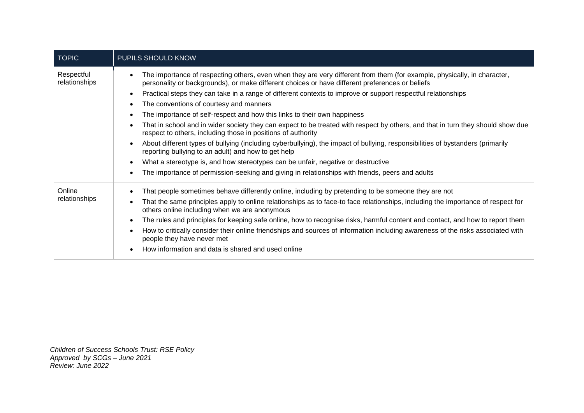| <b>TOPIC</b>                | PUPILS SHOULD KNOW                                                                                                                                                                                                          |  |
|-----------------------------|-----------------------------------------------------------------------------------------------------------------------------------------------------------------------------------------------------------------------------|--|
| Respectful<br>relationships | The importance of respecting others, even when they are very different from them (for example, physically, in character,<br>personality or backgrounds), or make different choices or have different preferences or beliefs |  |
|                             | Practical steps they can take in a range of different contexts to improve or support respectful relationships                                                                                                               |  |
|                             | The conventions of courtesy and manners                                                                                                                                                                                     |  |
|                             | The importance of self-respect and how this links to their own happiness                                                                                                                                                    |  |
|                             | That in school and in wider society they can expect to be treated with respect by others, and that in turn they should show due<br>respect to others, including those in positions of authority                             |  |
|                             | About different types of bullying (including cyberbullying), the impact of bullying, responsibilities of bystanders (primarily<br>reporting bullying to an adult) and how to get help                                       |  |
|                             | What a stereotype is, and how stereotypes can be unfair, negative or destructive                                                                                                                                            |  |
|                             | The importance of permission-seeking and giving in relationships with friends, peers and adults                                                                                                                             |  |
| Online                      | That people sometimes behave differently online, including by pretending to be someone they are not                                                                                                                         |  |
| relationships               | That the same principles apply to online relationships as to face-to face relationships, including the importance of respect for<br>others online including when we are anonymous                                           |  |
|                             | The rules and principles for keeping safe online, how to recognise risks, harmful content and contact, and how to report them                                                                                               |  |
|                             | How to critically consider their online friendships and sources of information including awareness of the risks associated with<br>people they have never met                                                               |  |
|                             | How information and data is shared and used online                                                                                                                                                                          |  |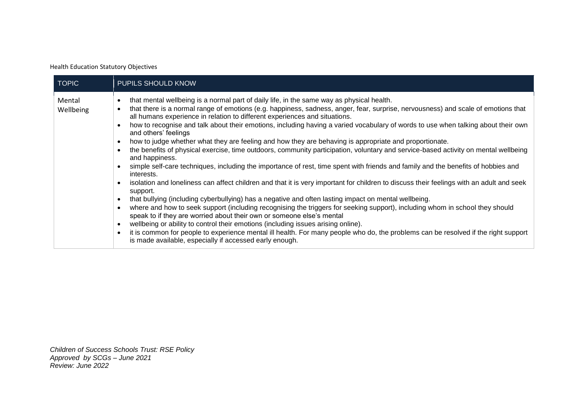Health Education Statutory Objectives

| <b>TOPIC</b>        | PUPILS SHOULD KNOW                                                                                                                                                                                                                                                                                                                                                                                                                                                                                                                                                                                                                                                                                                                                                                                                                                                                                                                                                                                                                                                                                                                                                                                                                                                                                                                                                                                                                                                                                                                                                                                                                                                                                                                                                                                            |
|---------------------|---------------------------------------------------------------------------------------------------------------------------------------------------------------------------------------------------------------------------------------------------------------------------------------------------------------------------------------------------------------------------------------------------------------------------------------------------------------------------------------------------------------------------------------------------------------------------------------------------------------------------------------------------------------------------------------------------------------------------------------------------------------------------------------------------------------------------------------------------------------------------------------------------------------------------------------------------------------------------------------------------------------------------------------------------------------------------------------------------------------------------------------------------------------------------------------------------------------------------------------------------------------------------------------------------------------------------------------------------------------------------------------------------------------------------------------------------------------------------------------------------------------------------------------------------------------------------------------------------------------------------------------------------------------------------------------------------------------------------------------------------------------------------------------------------------------|
| Mental<br>Wellbeing | that mental wellbeing is a normal part of daily life, in the same way as physical health.<br>$\bullet$<br>that there is a normal range of emotions (e.g. happiness, sadness, anger, fear, surprise, nervousness) and scale of emotions that<br>$\bullet$<br>all humans experience in relation to different experiences and situations.<br>how to recognise and talk about their emotions, including having a varied vocabulary of words to use when talking about their own<br>$\bullet$<br>and others' feelings<br>how to judge whether what they are feeling and how they are behaving is appropriate and proportionate.<br>$\bullet$<br>the benefits of physical exercise, time outdoors, community participation, voluntary and service-based activity on mental wellbeing<br>$\bullet$<br>and happiness.<br>simple self-care techniques, including the importance of rest, time spent with friends and family and the benefits of hobbies and<br>$\bullet$<br>interests.<br>isolation and loneliness can affect children and that it is very important for children to discuss their feelings with an adult and seek<br>$\bullet$<br>support.<br>that bullying (including cyberbullying) has a negative and often lasting impact on mental wellbeing.<br>$\bullet$<br>where and how to seek support (including recognising the triggers for seeking support), including whom in school they should<br>$\bullet$<br>speak to if they are worried about their own or someone else's mental<br>wellbeing or ability to control their emotions (including issues arising online).<br>$\bullet$<br>it is common for people to experience mental ill health. For many people who do, the problems can be resolved if the right support<br>$\bullet$<br>is made available, especially if accessed early enough. |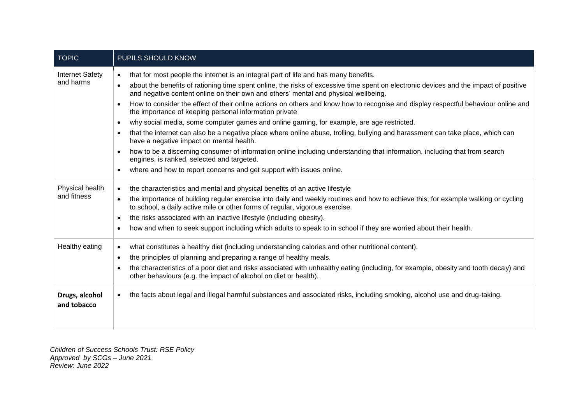| <b>TOPIC</b>                        | PUPILS SHOULD KNOW                                                                                                                                                                                                                                                                                                                                                                                                                                                                                                                                                                                                                                                                                                                                                                                                                                                                                                                                                                                                                                                                                                                |
|-------------------------------------|-----------------------------------------------------------------------------------------------------------------------------------------------------------------------------------------------------------------------------------------------------------------------------------------------------------------------------------------------------------------------------------------------------------------------------------------------------------------------------------------------------------------------------------------------------------------------------------------------------------------------------------------------------------------------------------------------------------------------------------------------------------------------------------------------------------------------------------------------------------------------------------------------------------------------------------------------------------------------------------------------------------------------------------------------------------------------------------------------------------------------------------|
| <b>Internet Safety</b><br>and harms | that for most people the internet is an integral part of life and has many benefits.<br>$\bullet$<br>about the benefits of rationing time spent online, the risks of excessive time spent on electronic devices and the impact of positive<br>$\bullet$<br>and negative content online on their own and others' mental and physical wellbeing.<br>How to consider the effect of their online actions on others and know how to recognise and display respectful behaviour online and<br>$\bullet$<br>the importance of keeping personal information private<br>why social media, some computer games and online gaming, for example, are age restricted.<br>$\bullet$<br>that the internet can also be a negative place where online abuse, trolling, bullying and harassment can take place, which can<br>have a negative impact on mental health.<br>how to be a discerning consumer of information online including understanding that information, including that from search<br>$\bullet$<br>engines, is ranked, selected and targeted.<br>where and how to report concerns and get support with issues online.<br>$\bullet$ |
| Physical health<br>and fitness      | the characteristics and mental and physical benefits of an active lifestyle<br>$\bullet$<br>the importance of building regular exercise into daily and weekly routines and how to achieve this; for example walking or cycling<br>$\bullet$<br>to school, a daily active mile or other forms of regular, vigorous exercise.<br>the risks associated with an inactive lifestyle (including obesity).<br>$\bullet$<br>how and when to seek support including which adults to speak to in school if they are worried about their health.<br>٠                                                                                                                                                                                                                                                                                                                                                                                                                                                                                                                                                                                        |
| Healthy eating                      | what constitutes a healthy diet (including understanding calories and other nutritional content).<br>$\bullet$<br>the principles of planning and preparing a range of healthy meals.<br>$\bullet$<br>the characteristics of a poor diet and risks associated with unhealthy eating (including, for example, obesity and tooth decay) and<br>٠<br>other behaviours (e.g. the impact of alcohol on diet or health).                                                                                                                                                                                                                                                                                                                                                                                                                                                                                                                                                                                                                                                                                                                 |
| Drugs, alcohol<br>and tobacco       | the facts about legal and illegal harmful substances and associated risks, including smoking, alcohol use and drug-taking.<br>$\bullet$                                                                                                                                                                                                                                                                                                                                                                                                                                                                                                                                                                                                                                                                                                                                                                                                                                                                                                                                                                                           |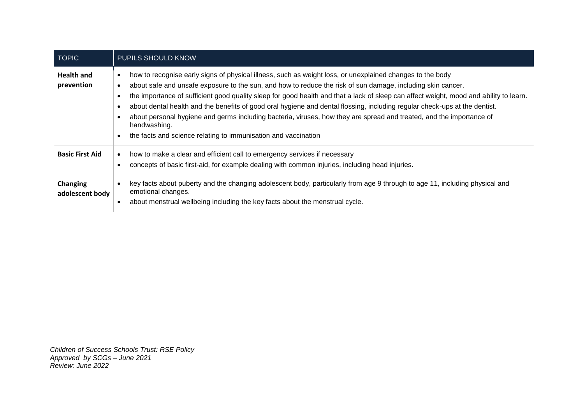| <b>TOPIC</b>                    | PUPILS SHOULD KNOW                                                                                                                                                                                                                                                                                                                                                                                                                                                                                                                                                                                                                                                                                         |  |
|---------------------------------|------------------------------------------------------------------------------------------------------------------------------------------------------------------------------------------------------------------------------------------------------------------------------------------------------------------------------------------------------------------------------------------------------------------------------------------------------------------------------------------------------------------------------------------------------------------------------------------------------------------------------------------------------------------------------------------------------------|--|
| <b>Health and</b><br>prevention | how to recognise early signs of physical illness, such as weight loss, or unexplained changes to the body<br>about safe and unsafe exposure to the sun, and how to reduce the risk of sun damage, including skin cancer.<br>the importance of sufficient good quality sleep for good health and that a lack of sleep can affect weight, mood and ability to learn.<br>about dental health and the benefits of good oral hygiene and dental flossing, including regular check-ups at the dentist.<br>about personal hygiene and germs including bacteria, viruses, how they are spread and treated, and the importance of<br>handwashing.<br>the facts and science relating to immunisation and vaccination |  |
| <b>Basic First Aid</b>          | how to make a clear and efficient call to emergency services if necessary<br>concepts of basic first-aid, for example dealing with common injuries, including head injuries.                                                                                                                                                                                                                                                                                                                                                                                                                                                                                                                               |  |
| Changing<br>adolescent body     | key facts about puberty and the changing adolescent body, particularly from age 9 through to age 11, including physical and<br>emotional changes.<br>about menstrual wellbeing including the key facts about the menstrual cycle.                                                                                                                                                                                                                                                                                                                                                                                                                                                                          |  |